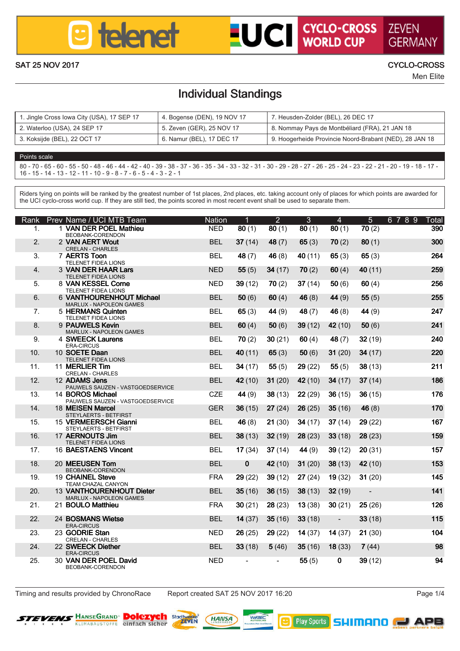

# **UCI** CYCLO-CROSS ZEVEN

SAT 25 NOV 2017 CYCLO-CROSS

Men Elite

### Individual Standings

| 1. Jingle Cross Iowa City (USA), 17 SEP 17 | 4. Bogense (DEN), 19 NOV 17 | 7. Heusden-Zolder (BEL), 26 DEC 17                      |  |  |  |  |  |
|--------------------------------------------|-----------------------------|---------------------------------------------------------|--|--|--|--|--|
| 2. Waterloo (USA), 24 SEP 17               | 5. Zeven (GER), 25 NOV 17   | 8. Nommay Pays de Montbéliard (FRA), 21 JAN 18          |  |  |  |  |  |
| 3. Kokailde (BEL), 22 OCT 17               | 6. Namur (BEL), 17 DEC 17   | 9. Hooperheide Provincie Noord-Brabant (NED), 28 JAN 18 |  |  |  |  |  |

### Points scale 80 - 70 - 65 - 60 - 55 - 50 - 48 - 46 - 44 - 42 - 40 - 39 - 38 - 37 - 36 - 35 - 34 - 33 - 32 - 31 - 30 - 29 - 28 - 27 - 26 - 25 - 24 - 23 - 22 - 21 - 20 - 19 - 18 - 17 - 16 - 15 - 14 - 13 - 12 - 11 - 10 - 9 - 8 - 7 - 6 - 5 - 4 - 3 - 2 - 1

Riders tying on points will be ranked by the greatest number of 1st places, 2nd places, etc. taking account only of places for which points are awarded for repara tyong on points will pe ranked by the greates number of its places, and peoples, est, taking account or<br>the UCI cupie cross world cup. If they can officient the solids execut in most record current shall be used to

| Rank                     | Prev Name / LICI MTR Team                                     | Nation     | ٠            | $\overline{2}$ | a       | A       | ĸ            | 6789<br>Total |
|--------------------------|---------------------------------------------------------------|------------|--------------|----------------|---------|---------|--------------|---------------|
| и.                       | 1 VAN DER POEL Mathieu<br>BEOBANG CORENDON                    | NFD        | 80(1)        | 80(1)          | 30(1)   | 20(1)   | 70 (2)       | 390           |
| $\mathbf{z}$             | 2 VAN AFRT Word<br>CRELAN - CHARLES                           | <b>RFI</b> | 37(14)       | 48 (7)         | 65(3)   | 70 (2)  | 80(1)        | 300           |
| $\overline{\mathbf{z}}$  | 7 AFRTS Toon<br>TELEMET EXHEA LICKIE                          | <b>REI</b> | 48 (7)       | 46 (8)         | 40 (11) | 65 (3)  | 65(3)        | 264           |
| 4.                       | 3 VAN DER HAAR Lars<br>TELEMET EXIGA LICENS                   | <b>NFD</b> | 55 (5)       | 34 (17)        | 70(2)   | 60(4)   | 40 (11)      | 259           |
| ĸ                        | 8 VAN KESSEL Come<br>TELEMET EXHEA LICKIE                     | NFD        | 39 (12)      | 70 (2)         | 37(14)  | 60 (6)  | 60 (4)       | 258           |
| A.                       | 6 VANTHOURENHOUT Michael                                      | <b>RFI</b> | 50(6)        | 60 (4)         | 46 (8)  | 44 (9)  | <b>66(5)</b> | 255           |
| $\overline{\phantom{a}}$ | MARLUX - NAPOLEON GAMES<br><b>5 HERMANS Outdoo</b>            | <b>RFI</b> | 65 (3)       | 44 (9)         | 48 (7)  | 46 (8)  | 44 (9)       | 247           |
| R                        | TELEMET EXHEA LICKIN<br>9 Pat MFI S Keyin                     | <b>RFI</b> | 60 (4)       | <b>50 (6)</b>  | 39 (12) | 42 (10) | 60 (6)       | 241           |
| ۰                        | MARLUX - NAPOLEON GAMES<br>4 SWEECK Laurence                  | <b>REI</b> | 70 (2)       | 30 (21)        | 60 (4)  | 48 (7)  | 32 (19)      | 240           |
| 10                       | ERACIDOUS<br>10 SOFTE Dago                                    | <b>RFI</b> | 40 (11)      | 65 (3)         | 50(6)   | 31 (20) | 34 (17)      | 220           |
| 11                       | TELEMET EIDEA LICENS<br>11 MERLIFE TIM                        | <b>REI</b> | 34 (17)      | 55 (5)         | 29(22)  | 65 (5)  | 38 (13)      | 211           |
|                          | CREI AN - CHARLES                                             |            |              |                |         |         |              |               |
| 12 <sub>2</sub>          | 12 ADAMS Jons<br>PAUWELS SAUZEN - VASTGOEDSERVICE             | <b>RFI</b> | 42 (10)      | 31 (20)        | 42 (10) | 34 (17) | 37(14)       | 186           |
| 13                       | 14 ROBOS Michael<br><b>PALMIELS SALIZEN - VASTGOEDSERVICE</b> | CZE        | 44 (9)       | 38(13)         | 22(29)  | 36 (15) | 36 (15)      | <b>178</b>    |
| 14                       | 18 MEDSEN Marrel<br>STEYLAERTS - BETFIRST                     | GFR        | 36(15)       | 27(24)         | 26(25)  | 35(16)  | 46 (8)       | 170           |
| 15                       | <b>15 VERMEERSCH Glanni</b><br>STEYLAERTS - BETFIRST          | <b>RFI</b> | 46 (8)       | 21(30)         | 34 (17) | 37(14)  | 29 (22)      | 167           |
| 16                       | 17 AFRNOUTS Jim<br>TELEMET EXPEASIONS                         | <b>RFI</b> | 38 (13)      | 32(19)         | 28 (23) | 33 (18) | 28 (23)      | 159           |
| 17                       | 16 RAFRTAFNR Vinnent                                          | <b>RFI</b> | 17(34)       | 37(14)         | 44 (9)  | 39 (12) | 20 (31)      | 157           |
| 18                       | 20 MEEUSEN Tom                                                | <b>RFI</b> | $\mathbf{a}$ | 42 (10)        | 31 (20) | 38 (13) | 42 (10)      | 153           |
| 19                       | BEOBANG CORENDON<br>19 CHAINEL Steve                          | <b>FRA</b> | 29 (22)      | 39(12)         | 27(24)  | 19 (32) | 31 (20)      | 145           |
| 20 <sub>1</sub>          | TEAM CHAZAL CANYON<br>13 VANTHOURFMHOUT Dieter                | <b>RFI</b> | 35 (16)      | 36(15)         | 38 (13) | 32 (19) | ٠.           | 141           |
|                          | MARLUX - NAPOLEON GAMES                                       |            |              |                |         |         |              |               |
| 21                       | 21 ROLEO Mothiau                                              | <b>FRA</b> | 30(21)       | 28 (23)        | 13(38)  | 30(21)  | 25 (26)      | 126           |
| $\mathfrak{D}$           | <b>24 ROSMANS Winter</b><br><b>ERACIRCUS</b>                  | <b>RFI</b> | 14 (37)      | 35 (16)        | 33 (18) | ٠       | 33 (18)      | 115           |
| 23                       | 23 GODRIF Stan<br>CREI AN - CHARLES                           | NFD        | 26 (25)      | 29 (22)        | 14 (37) | 14 (37) | 21 (30)      | 104           |
| 24                       | 22 SWEECK Diether<br>ERACIDOUS                                | <b>RFI</b> | 33(18)       | 5(46)          | 35 (16) | 18(33)  | 7(44)        | <b>QR</b>     |
| 25                       | 30 VAN DER POEL David<br>BEOBANK-CORENDON                     | <b>NFD</b> |              | ٠              | 55(5)   | n       | 39 (12)      | $\alpha$      |

The Timing and results provided by ChronoRace Report created SAT 25 NOV 2017 16:20

**B** Pby Spats **SHIMANO (U APB** 





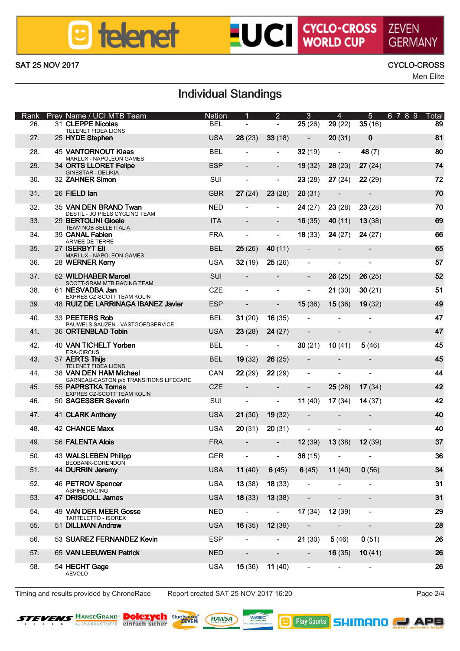## **B** telenet

# **LUCI CYCLO-CROSS ZEVEN**

### SAT 25 NOV 2017 CYCLO-CROSS

Men Elite

## Individual Standings

| Rank            | Prev Name / UCI MTB Team                                          | Nation     |         | $\overline{2}$ | з       | A       | 6<br>6   | 8<br>$\mathbf{Q}$<br>и<br>Total |
|-----------------|-------------------------------------------------------------------|------------|---------|----------------|---------|---------|----------|---------------------------------|
| 26.             | 31 CLEPPE Nicolas<br>TELENET FIDEA LIONS                          | <b>BEL</b> | ٠       | i.             | 25(26)  | 29 (22) | 35 (16)  | 89                              |
| 27.             | 25 HYDE Stephen                                                   | <b>USA</b> | 28 (23) | 33 (18)        | ٠       | 20(31)  | $\bf{0}$ | 81                              |
| 28.             | <b>45 VANTORNOUT Klass</b><br>MARLUX - NAPOLEON GAMES             | <b>BEL</b> | i.      | i.             | 32 (19) | i.      | 48 (7)   | 80                              |
| 29.             | 34 ORTS LLORET Felipe<br>GINESTAR - DELIKIA                       | ESP        |         |                | 19 (32) | 28 (23) | 27 (24)  | 74                              |
| 30 <sub>1</sub> | 32 ZAHMER Simon                                                   | SUE        | ٠       | ä,             | 23 (28) | 27(24)  | 22 (29)  | 72                              |
| 31              | 26 FIFI D lan                                                     | <b>GBR</b> | 27 (24) | 23 (28)        | 20 (31) | ٠       | ٠        | 70                              |
| 32              | 35 VAN DEN BRAND Twan<br>DESTIL - JO PIELS CYCLING TEAM           | <b>NED</b> |         | i.             | 24 (27) | 23 (28) | 23 (28)  | 70                              |
| 33              | 29 BERTOLINI Glogle<br>TEAM NOB SELLE ITALIA                      | <b>ITA</b> |         |                | 16 (35) | 40 (11) | 13(38)   | 69                              |
| 24              | 39 CANAL Fablen<br>ARMEE DE TERRE                                 | <b>FRA</b> | ٠       | i.             | 18 (33) | 24 (27) | 24 (27)  | 66                              |
| 35.             | 27 ISERBYT EI<br>MARLUX - NAPOLEON GAMES                          | <b>BEL</b> | 25(26)  | 40 (11)        | ٠       | ٠       | ٠        | 65                              |
| 36              | 28 WERNER Kerry                                                   | <b>USA</b> | 32 (19) | 25 (26)        | ٠       | i.      | ٠        | 57                              |
| 37              | 52 WILDHARER Marrel<br>SCOTT-SRAM MTB RACING TEAM                 | SUE.       | ٠       | ٠              | ٠       | 26 (25) | 26 (25)  | 52                              |
| 38              | 61 NESVADBA Jan<br>EXPRES CZ-SCOTT TEAM KOLIN                     | CZE        | i.      | i.             | i.      | 21 (30) | 30(21)   | 51                              |
| 39.             | 48 RUIZ DE LARRINAGA IBANEZ Javier                                | ESP        |         |                | 15 (36) | 15(36)  | 19(32)   | 49                              |
| 40              | 33 PEETERS Rob<br>PAUMELS SAUZEN - VASTGOEDSERVICE                | <b>REI</b> | 31 (20) | 16 (35)        | ٠       | ٠       | ٠        | 47                              |
| 41              | 36 ORTENRI AD Tobio                                               | 1194       | 23 (28) | 24 (27)        | ٠       | ٠       | ٠        | 47                              |
| 42              | 40 VAN TICHELT Yorben<br><b>ERACIRCUS</b>                         | <b>BEL</b> | ٠       | ٠              | 30(21)  | 10(41)  | 5(46)    | 45                              |
| 43.             | 37 AERTS This<br>TELENET FIDEA LICNS                              | <b>RFI</b> | 19 (32) | 26 (25)        |         | ٠       | ٠        | 45                              |
| 44              | 38 VAN DEN HAM Michael<br>GARNEAU-EASTON alb TRANSITIONS LIFECARE | CAN        | 22 (29) | 22 (29)        | ٠       | i.      | ٠        | 44                              |
| 45.             | 55 PAPRSTKA Tomas<br>EXPRES CZ-SCOTT TEAM KOLIN                   | CZE        | ٠       | ٠              | i.      | 25 (26) | 17(34)   | 42                              |
| 46.             | 50 SAGESSER Severin                                               | SUI        | ٠       |                | 11 (40) | 17(34)  | 14 (37)  | 42                              |
| 47              | 41 CLARK Anthony                                                  | 1194       | 21 (30) | 19 (32)        | ٠       | ٠       | ٠        | 40                              |
| 48              | <b>42 CHANCE MIDS</b>                                             | <b>USA</b> | 20 (31) | 20 (31)        | ٠       | i.      | i.       | An                              |
| 49.             | 56 FALENTA Alois                                                  | FRA        | ٠       | ٠              | 12(39)  | 13(38)  | 12 (39)  | 37                              |
| 50              | 43 WALSLEBEN Philop<br>BEOBANK-CORENDON                           | GFR        | ٠       | ٠              | 36 (15) | i.      | ٠        | 36                              |
| 51              | 44 DURRIN Jeremy                                                  | <b>USA</b> | 11 (40) | 6(45)          | 6(45)   | 11 (40) | 0(56)    | 34                              |
| 52.             | 46 PETROV Soencer<br>ASPIRE RACING                                | <b>USA</b> | 13 (38) | 18 (33)        | i.      | i.      | i.       | 31                              |
| 53              | 47 DRISCOLL James                                                 | <b>USA</b> | 18 (33) | 13 (38)        | ٠       | ٠       | ٠        | 31                              |
| 54              | 49 VAN DER MEER Gross<br>TARTELETTO - ISOREX                      | NFD        | ٠       | i.             | 17 (34) | 12 (39) | i.       | 29                              |
| 55              | 51 DILLMAN Andrew                                                 | <b>USA</b> | 16 (35) | 12 (39)        |         | ٠       |          | 28                              |
| 56.             | 53 SUAREZ FERNANDEZ Kevin                                         | ESP        |         | i.             | 21 (30) | 5(46)   | 0(51)    | 26                              |
| 57              | 65 VAN I FFI M/FM Patrick                                         | NFD        |         |                | ٠       | 16(35)  | 10(41)   | <b>26</b>                       |
| F.R             | 54 HECHT Gaoe<br><b>AEVOLO</b>                                    | 1194       | 15 (36) | 11 (40)        | ٠       | i.      | i.       | 26                              |

Timing and results provided by ChronoRace Report created SAT 25 NOV 2017 16:20 Page 2/4



**Dolezych asset (MAIISA)** 



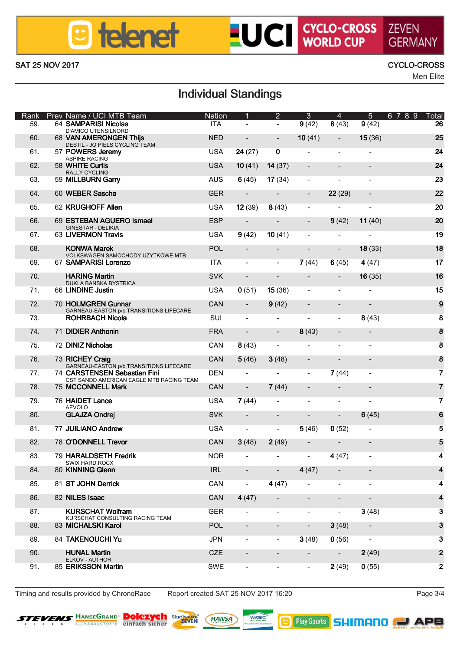## **B** telenet

### SAT 25 NOV 2017 CYCLO-CROSS

**LUCI CYCLO-CROSS ZEVEN** 

Men Elite

## Individual Standings

| Rank           | Prev Name / UCI MTB Team                                                 | Nation     |         | $\overline{2}$ | з      | A       | 6       | R.<br>8<br>$\mathbf{Q}$<br>и<br>Total |
|----------------|--------------------------------------------------------------------------|------------|---------|----------------|--------|---------|---------|---------------------------------------|
| 59.            | 64 SAMPARISI Nicolas<br>D'AMCO UTENSILNORD                               | <b>ITA</b> | ٠       | ٠              | 9(42)  | 8(43)   | 9(42)   | 26                                    |
| 60             | <b>68 VAN AMERONGEN This</b><br>DESTIL - JO PIELS CYCLING TEAM           | <b>NED</b> | ٠       | ×,             | 10(41) | ٠       | 15(36)  | 25                                    |
| 61.            | 57 POWERS Jeremy<br>ASPIRE RACING                                        | <b>USA</b> | 24 (27) | n              | i.     | i.      | i.      | 24                                    |
| 62             | 58 WHITE Curtis<br><b>RALLY CYCLING</b>                                  | <b>USA</b> | 10(41)  | 14 (37)        | ٠      | ٠       | ٠       | 24                                    |
| 63             | 59 MILLBURN Gerry                                                        | <b>AUS</b> | 6(45)   | 17 (34)        | ٠      | i.      | i.      | 23                                    |
| 64             | 60 WEBER Seacha                                                          | <b>GER</b> | ٠       | ٠              |        | 22 (29) |         | $\boldsymbol{\mathcal{D}}$            |
| 65             | 62 KRUGHOFF Allen                                                        | <b>USA</b> | 12 (39) | 8(43)          | ٠      | i.      | ٠       | 20                                    |
| 66             | 69 ESTEBAN AGUERO Ismael                                                 | ESP        | ٠       | ٠              | ٠      | 9(42)   | 11 (40) | 20                                    |
| 67.            | GINESTAR - DELIKIA<br>63   INFRMON Través                                | USA        | 9(42)   | 10(41)         | i.     | i.      | ä,      | 19                                    |
| 68.            | <b>KOMWA Marek</b>                                                       | <b>POL</b> |         | ٠              | ٠      | ٠       | 18 (33) | 18                                    |
| 69             | VOLKSWAGEN SAMOCHODY UZYTKOWE MTB<br>67 SAMPARISI Lorenzo                | <b>ITA</b> | ٠       | ٠              | 7(44)  | 6(45)   | 4(47)   | 17                                    |
| 70             | <b>HARING Marlin</b>                                                     | <b>SVK</b> | ٠       | ٠              | ٠      | ٠       | 16(35)  | 16                                    |
| 71             | DUKLA BANSKA BYSTRICA<br>66 LINDINE Justin                               | 1194       | 0(51)   | 15 (36)        | i.     | i.      | ٠       | 15                                    |
| 72             | 70 HOLMGREN Gunnar                                                       | CAN        | ٠       | 9(42)          | ٠      | ٠       | ٠       | $\mathbf{9}$                          |
| 73.            | GARNEAU-EASTON ob TRANSITIONS LIFECARE<br><b>ROHRBACH Nicola</b>         | SUI        | i.      | ï              | ï      | j,      | 8(43)   | 8                                     |
| 74.            | 71 DIDIER Anthonin                                                       | <b>FRA</b> |         |                |        |         |         | 8                                     |
|                |                                                                          |            | ٠       | ٠              | 8(43)  | ٠       |         |                                       |
| 75.            | 72 DINIZ Nicholas                                                        | CAN        | 8(43)   | i.             | i.     | i.      | ٠       | 8                                     |
| 76.            | 73 RICHEY Craig<br>GARNEAU-EASTON ob TRANSITIONS LIFECARE                | CAN        | 5(46)   | 3(48)          | ٠      | ٠       | ٠       | 8                                     |
| 77.            | 74 CARSTENSEN Sebastian Fini<br>CST SANDO AMERICAN EAGLE MTB RACING TEAM | DEN        | ٠       | ä,             | i.     | 7(44)   | i.      | 7                                     |
| 78             | <b>75 MCCONNELL Mark</b>                                                 | CAN        | ٠       | 7(44)          | ٠      | ٠       | ٠       | 7                                     |
| 79             | 76 HAIDET Lance<br>AEVOLO                                                | 1194       | 7(44)   | i.             | i.     | i.      | ٠       | 7                                     |
| 80             | <b>GLAJZA Ondrei</b>                                                     | <b>SVK</b> | ٠       | ٠              |        | ٠       | 6(45)   | 6                                     |
| 81.            | 77 JUILIANO Andrew                                                       | <b>USA</b> | ٠       | ä,             | 5(46)  | 0(52)   | i.      | Б                                     |
| 82             | 78 O'DONNELL Trevor                                                      | CAN        | 3(48)   | 2(49)          | ٠      | ٠       | ٠       | Б                                     |
| 83             | 79 HARAI DRETH Fredrik<br>SATY HARD ROCK                                 | NOR        | ٠       | i.             | i.     | 4(47)   | i.      | 4                                     |
| 84             | 80 KINNING Glenn                                                         | IRL        | ٠       | ٠              | 4(47)  | ٠       | ٠       | 4                                     |
| 85.            | 81 ST JOHN Demick                                                        | CAN        | ٠       | 4 (47)         | ٠      | i.      | ٠       | 4                                     |
| 86.            | 82 NILES Isaac                                                           | CAN        | 4(47)   | i.             | i.     | i,      |         |                                       |
| 87.            | <b>KURSCHAT Wollram</b>                                                  | <b>GER</b> |         | i.             | i.     | ×,      | 3(48)   | 3                                     |
| 88             | KURSCHAT CONSULTING RACING TEAM<br>83 MICHALSKI Karol                    | POL        | ٠       | ٠              | ٠      | 3(48)   | ٠       | 3                                     |
| 89             | 84 TAKENOUCHI Yu                                                         | <b>JPN</b> | ٠       | ٠              | 3(48)  | 0(56)   | ٠       | $\overline{\mathbf{a}}$               |
| 90             | <b>HUMAL Martin</b>                                                      | CZE        |         | ٠              |        | ٠       | 2(49)   | $\overline{2}$                        |
| Q <sub>1</sub> | ELKOV - AUTHOR<br>85 ERIKSSON Martin                                     | SWE        | ٠       | i.             | i.     | 2(49)   | 0(55)   | $\overline{2}$                        |
|                |                                                                          |            |         |                |        |         |         |                                       |

Timing and results provided by ChronoRace Report created SAT 25 NOV 2017 16:20 Page 3/4



**Dolezych asset (MAIISA)**